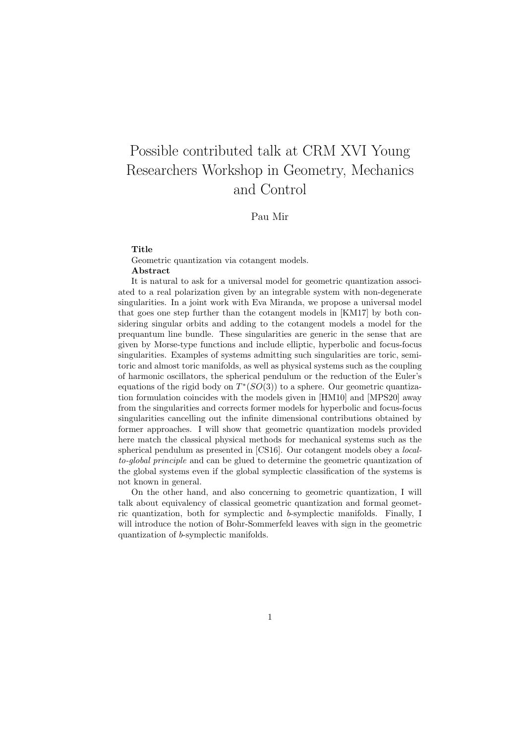## Possible contributed talk at CRM XVI Young Researchers Workshop in Geometry, Mechanics and Control

## Pau Mir

## Title

Geometric quantization via cotangent models. Abstract

It is natural to ask for a universal model for geometric quantization associated to a real polarization given by an integrable system with non-degenerate singularities. In a joint work with Eva Miranda, we propose a universal model that goes one step further than the cotangent models in [KM17] by both considering singular orbits and adding to the cotangent models a model for the prequantum line bundle. These singularities are generic in the sense that are given by Morse-type functions and include elliptic, hyperbolic and focus-focus singularities. Examples of systems admitting such singularities are toric, semitoric and almost toric manifolds, as well as physical systems such as the coupling of harmonic oscillators, the spherical pendulum or the reduction of the Euler's equations of the rigid body on  $T^*(SO(3))$  to a sphere. Our geometric quantization formulation coincides with the models given in [HM10] and [MPS20] away from the singularities and corrects former models for hyperbolic and focus-focus singularities cancelling out the infinite dimensional contributions obtained by former approaches. I will show that geometric quantization models provided here match the classical physical methods for mechanical systems such as the spherical pendulum as presented in [CS16]. Our cotangent models obey a localto-global principle and can be glued to determine the geometric quantization of the global systems even if the global symplectic classification of the systems is not known in general.

On the other hand, and also concerning to geometric quantization, I will talk about equivalency of classical geometric quantization and formal geometric quantization, both for symplectic and b-symplectic manifolds. Finally, I will introduce the notion of Bohr-Sommerfeld leaves with sign in the geometric quantization of b-symplectic manifolds.